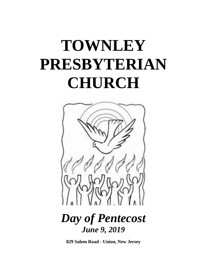# **TOWNLEY PRESBYTERIAN CHURCH**



## *Day of Pentecost June 9, 2019*

**829 Salem Road - Union, New Jersey**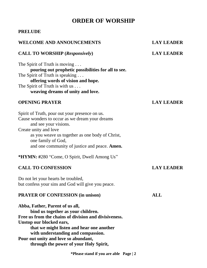### **ORDER OF WORSHIP**

### **PRELUDE**

### **WELCOME AND ANNOUNCEMENTS LAY LEADER**

#### **CALL TO WORSHIP (***Responsively***) LAY LEADER**

The Spirit of Truth is moving ... **pouring out prophetic possibilities for all to see.**  The Spirit of Truth is speaking . . . **offering words of vision and hope.**  The Spirit of Truth is with us . . . **weaving dreams of unity and love.**

#### **OPENING PRAYER LAY LEADER**

Spirit of Truth, pour out your presence on us. Cause wonders to occur as we dream your dreams and see your visions. Create unity and love as you weave us together as one body of Christ, one family of God, and one community of justice and peace. **Amen.**

**\*HYMN: #**280 "Come, O Spirit, Dwell Among Us"

#### **CALL TO CONFESSION LAY LEADER**

Do not let your hearts be troubled, but confess your sins and God will give you peace.

#### **PRAYER OF CONFESSION (in unison) ALL**

**Abba, Father, Parent of us all, bind us together as your children. Free us from the chains of division and divisiveness. Unstop our blocked ears, that we might listen and hear one another with understanding and compassion. Pour out unity and love so abundant, through the power of your Holy Spirit,**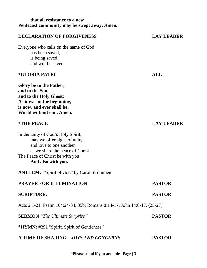#### **that all resistance to a new Pentecost community may be swept away. Amen.**

#### **DECLARATION OF FORGIVENESS LAY LEADER**

Everyone who calls on the name of God has been saved, is being saved, and will be saved.

#### **\*GLORIA PATRI ALL**

**Glory be to the Father, and to the Son, and to the Holy Ghost; As it was in the beginning, is now, and ever shall be, World without end. Amen.**

In the unity of God's Holy Spirit, may we offer signs of unity and love to one another as we share the peace of Christ. The Peace of Christ be with you! **And also with you.**

**ANTHEM:** "Spirit of God" by Carol Strommen

| <b>PRAYER FOR ILLUMINATION</b>                                           | <b>PASTOR</b> |
|--------------------------------------------------------------------------|---------------|
| <b>SCRIPTURE:</b>                                                        | <b>PASTOR</b> |
| Acts 2:1-21; Psalm 104:24-34, 35b; Romans 8:14-17; John 14:8-17, (25-27) |               |
| <b>SERMON</b> "The Ultimate Surprise"                                    | <b>PASTOR</b> |
| *HYMN: #291 "Spirit, Spirit of Gentleness"                               |               |
| A TIME OF SHARING - JOYS AND CONCERNS                                    | <b>PASTOR</b> |

**\*Please stand if you are able Page | 3**

#### **\*THE PEACE LAY LEADER**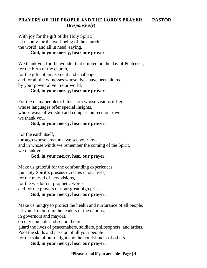### **PRAYERS OF THE PEOPLE AND THE LORD'S PRAYER PASTOR (***Responsively***)**

With joy for the gift of the Holy Spirit, let us pray for the well-being of the church, the world, and all in need, saying,

#### **God, in your mercy, hear our prayer.**

We thank you for the wonder that erupted on the day of Pentecost,

for the birth of the church,

for the gifts of amazement and challenge,

and for all the witnesses whose lives have been altered by your power alive in our world.

### **God, in your mercy, hear our prayer.**

For the many peoples of this earth whose visions differ, whose languages offer special insights, whose ways of worship and compassion feed our own, we thank you.

#### **God, in your mercy, hear our prayer.**

For the earth itself,

through whose creatures we see your love and in whose winds we remember the coming of the Spirit, we thank you.

#### **God, in your mercy, hear our prayer.**

Make us grateful for the confounding experiences the Holy Spirit's presence creates in our lives, for the marvel of new visions, for the wisdom in prophetic words, and for the prayers of your great high priest.

### **God, in your mercy, hear our prayer.**

Make us hungry to protect the health and nurturance of all people; let your fire burn in the leaders of the nations,

in governors and mayors,

on city councils and school boards;

guard the lives of peacemakers, soldiers, philosophers, and artists.

Pool the skills and passion of all your people

for the sake of our delight and the nourishment of others.

### **God, in your mercy, hear our prayer.**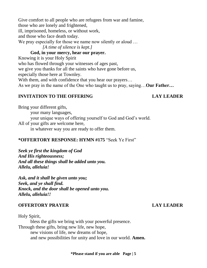Give comfort to all people who are refugees from war and famine, those who are lonely and frightened, ill, imprisoned, homeless, or without work,

and those who face death today.

We pray especially for those we name now silently or aloud ...

*[A time of silence is kept.]* 

### **God, in your mercy, hear our prayer.**

Knowing it is your Holy Spirit

who has flowed through your witnesses of ages past,

we give you thanks for all the saints who have gone before us,

especially those here at Townley.

With them, and with confidence that you hear our prayers...

As we pray in the name of the One who taught us to pray, saying…**Our Father…**

### **INVITATION TO THE OFFERING LAY LEADER**

Bring your different gifts, your many languages, your unique ways of offering yourself to God and God's world. All of your gifts are welcome here, in whatever way you are ready to offer them.

### **\*OFFERTORY RESPONSE: HYMN #175** "Seek Ye First"

*Seek ye first the kingdom of God And His righteousness; And all these things shall be added unto you. Allelu, alleluia!*

*Ask, and it shall be given unto you; Seek, and ye shall find. Knock, and the door shall be opened unto you. Allelu, alleluia!!*

### **OFFERTORY PRAYER LAY LEADER**

Holy Spirit,

bless the gifts we bring with your powerful presence. Through these gifts, bring new life, new hope, new visions of life, new dreams of hope, and new possibilities for unity and love in our world. **Amen.**